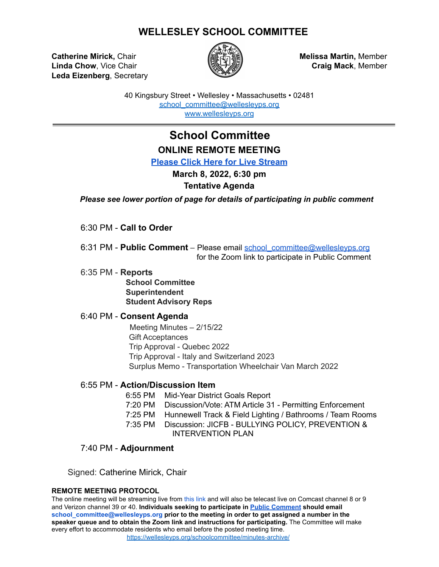## **WELLESLEY SCHOOL COMMITTEE**

**Catherine Mirick,** Chair **Melissa Martin,** Member **Linda Chow**, Vice Chair **Craiging Craig Mack**, Member **Craig Mack**, Member **Leda Eizenberg**, Secretary



40 Kingsbury Street • Wellesley • Massachusetts • 02481 [school\\_committee@wellesleyps.org](mailto:school_committee@wellesleyps.org) [www.wellesleyps.org](http://www.wellesleyps.org)

# **School Committee ONLINE REMOTE MEETING**

**[Please Click Here for Live Stream](https://www.wellesleymedia.org/live-streaming.html)**

**March 8, 2022, 6:30 pm**

### **Tentative Agenda**

*Please see lower portion of page for details of participating in public comment*

6:30 PM - **Call to Order**

6:31 PM - **Public Comment** – Please email school\_committee@wellesleyps.org for the Zoom link to participate in Public Comment

6:35 PM - **Reports**

**School Committee Superintendent Student Advisory Reps**

#### 6:40 PM - **Consent Agenda**

Meeting Minutes – 2/15/22 Gift Acceptances Trip Approval - Quebec 2022 Trip Approval - Italy and Switzerland 2023 Surplus Memo - Transportation Wheelchair Van March 2022

#### 6:55 PM - **Action/Discussion Item**

- 6:55 PM Mid-Year District Goals Report 7:20 PM Discussion/Vote: ATM Article 31 - Permitting Enforcement
- 7:25 PM Hunnewell Track & Field Lighting / Bathrooms / Team Rooms
- 7:35 PM Discussion: JICFB BULLYING POLICY, PREVENTION & INTERVENTION PLAN

### 7:40 PM - **Adjournment**

Signed: Catherine Mirick, Chair

#### **REMOTE MEETING PROTOCOL**

The online meeting will be streaming live from this link and will also be telecast live on Comcast channel 8 or 9 and Verizon channel 39 or 40. **Individuals seeking to participate in [Public Comment](https://z2policy.ctspublish.com/masc/browse/wellesleyset/wellesley/BEDH) should email school\_committee@wellesleyps.org prior to the meeting in order to get assigned a number in the speaker queue and to obtain the Zoom link and instructions for participating.** The Committee will make every effort to accommodate residents who email before the posted meeting time. https://wellesleyps.org/schoolcommittee/minutes-archive/